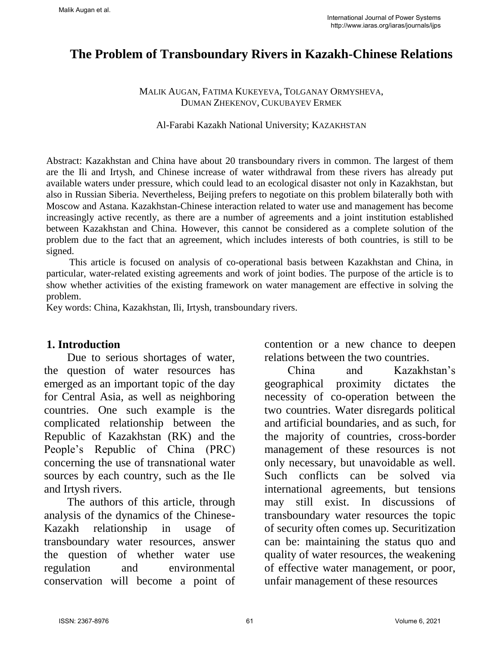# **The Problem of Transboundary Rivers in Kazakh-Chinese Relations**

### MALIK AUGAN, FATIMA KUKEYEVA, TOLGANAY ORMYSHEVA, DUMAN ZHEKENOV, CUKUBAYEV ERMEK

#### Al-Farabi Kazakh National University; KAZAKHSTAN

Abstract: Kazakhstan and China have about 20 transboundary rivers in common. The largest of them are the Ili and Irtysh, and Chinese increase of water withdrawal from these rivers has already put available waters under pressure, which could lead to an ecological disaster not only in Kazakhstan, but also in Russian Siberia. Nevertheless, Beijing prefers to negotiate on this problem bilaterally both with Moscow and Astana. Kazakhstan-Chinese interaction related to water use and management has become increasingly active recently, as there are a number of agreements and a joint institution established between Kazakhstan and China. However, this cannot be considered as a complete solution of the problem due to the fact that an agreement, which includes interests of both countries, is still to be signed.

This article is focused on analysis of co-operational basis between Kazakhstan and China, in particular, water-related existing agreements and work of joint bodies. The purpose of the article is to show whether activities of the existing framework on water management are effective in solving the problem.

Key words: China, Kazakhstan, Ili, Irtysh, transboundary rivers.

### **1. Introduction**

Due to serious shortages of water, the question of water resources has emerged as an important topic of the day for Central Asia, as well as neighboring countries. One such example is the complicated relationship between the Republic of Kazakhstan (RK) and the People's Republic of China (PRC) concerning the use of transnational water sources by each country, such as the Ile and Irtysh rivers.

The authors of this article, through analysis of the dynamics of the Chinese-Kazakh relationship in usage of transboundary water resources, answer the question of whether water use regulation and environmental conservation will become a point of

contention or a new chance to deepen relations between the two countries.

China and Kazakhstan's geographical proximity dictates the necessity of co-operation between the two countries. Water disregards political and artificial boundaries, and as such, for the majority of countries, cross-border management of these resources is not only necessary, but unavoidable as well. Such conflicts can be solved via international agreements, but tensions may still exist. In discussions of transboundary water resources the topic of security often comes up. Securitization can be: maintaining the status quo and quality of water resources, the weakening of effective water management, or poor, unfair management of these resources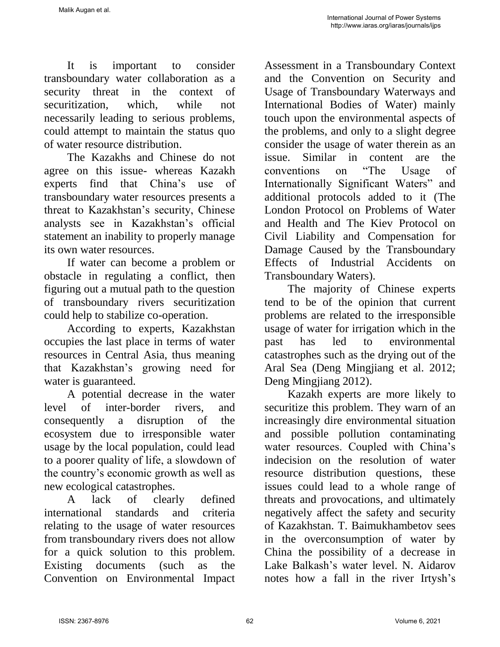It is important to consider transboundary water collaboration as a security threat in the context of securitization, which, while not necessarily leading to serious problems, could attempt to maintain the status quo of water resource distribution.

The Kazakhs and Chinese do not agree on this issue- whereas Kazakh experts find that China's use of transboundary water resources presents a threat to Kazakhstan's security, Chinese analysts see in Kazakhstan's official statement an inability to properly manage its own water resources.

If water can become a problem or obstacle in regulating a conflict, then figuring out a mutual path to the question of transboundary rivers securitization could help to stabilize co-operation.

According to experts, Kazakhstan occupies the last place in terms of water resources in Central Asia, thus meaning that Kazakhstan's growing need for water is guaranteed.

A potential decrease in the water level of inter-border rivers, and consequently a disruption of the ecosystem due to irresponsible water usage by the local population, could lead to a poorer quality of life, а slowdown of the country's economic growth as well as new ecological catastrophes.

A lack of clearly defined international standards and criteria relating to the usage of water resources from transboundary rivers does not allow for a quick solution to this problem. Existing documents (such as the Convention on Environmental Impact

Assessment in a Transboundary Context and the Convention on Security and Usage of Transboundary Waterways and International Bodies of Water) mainly touch upon the environmental aspects of the problems, and only to a slight degree consider the usage of water therein as an issue. Similar in content are the conventions on "The Usage of Internationally Significant Waters" and additional protocols added to it (The London Protocol on Problems of Water and Health and The Kiev Protocol on Civil Liability and Compensation for Damage Caused by the Transboundary Effects of Industrial Accidents on Transboundary Waters).

The majority of Chinese experts tend to be of the opinion that current problems are related to the irresponsible usage of water for irrigation which in the past has led to environmental catastrophes such as the drying out of the Aral Sea (Deng Mingjiang et al. 2012; Deng Mingjiang 2012).

Kazakh experts are more likely to securitize this problem. They warn of an increasingly dire environmental situation and possible pollution contaminating water resources. Coupled with China's indecision on the resolution of water resource distribution questions, these issues could lead to a whole range of threats and provocations, and ultimately negatively affect the safety and security of Kazakhstan. T. Baimukhambetov sees in the overconsumption of water by China the possibility of a decrease in Lake Balkash's water level. N. Aidarov notes how a fall in the river Irtysh's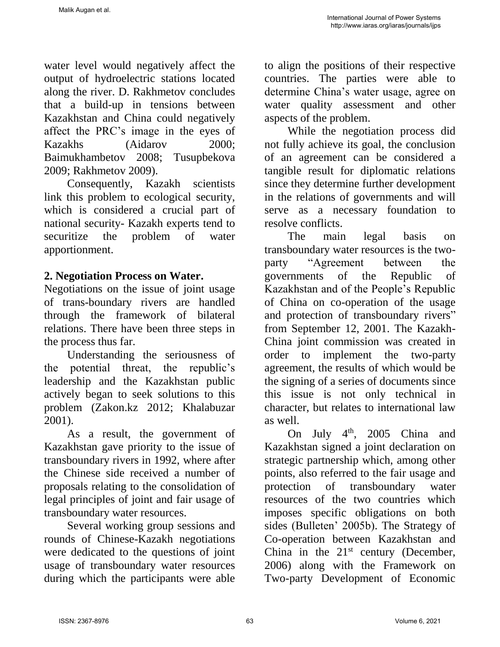water level would negatively affect the output of hydroelectric stations located along the river. D. Rakhmetov concludes that a build-up in tensions between Kazakhstan and China could negatively affect the PRC's image in the eyes of Kazakhs (Aidarov 2000; Baimukhambetov 2008; Tusupbekova 2009; Rakhmetov 2009).

Consequently, Kazakh scientists link this problem to ecological security, which is considered a crucial part of national security- Kazakh experts tend to securitize the problem of water apportionment.

# **2. Negotiation Process on Water.**

Negotiations on the issue of joint usage of trans-boundary rivers are handled through the framework of bilateral relations. There have been three steps in the process thus far.

Understanding the seriousness of the potential threat, the republic's leadership and the Kazakhstan public actively began to seek solutions to this problem (Zakon.kz 2012; Khalabuzar 2001).

As a result, the government of Kazakhstan gave priority to the issue of transboundary rivers in 1992, where after the Chinese side received a number of proposals relating to the consolidation of legal principles of joint and fair usage of transboundary water resources.

Several working group sessions and rounds of Chinese-Kazakh negotiations were dedicated to the questions of joint usage of transboundary water resources during which the participants were able

to align the positions of their respective countries. The parties were able to determine China's water usage, agree on water quality assessment and other aspects of the problem.

While the negotiation process did not fully achieve its goal, the conclusion of an agreement can be considered a tangible result for diplomatic relations since they determine further development in the relations of governments and will serve as a necessary foundation to resolve conflicts.

The main legal basis on transboundary water resources is the twoparty "Agreement between the governments of the Republic of Kazakhstan and of the People's Republic of China on co-operation of the usage and protection of transboundary rivers" from September 12, 2001. The Kazakh-China joint commission was created in order to implement the two-party agreement, the results of which would be the signing of a series of documents since this issue is not only technical in character, but relates to international law as well.

On July 4<sup>th</sup>, 2005 China and Kazakhstan signed a joint declaration on strategic partnership which, among other points, also referred to the fair usage and protection of transboundary water resources of the two countries which imposes specific obligations on both sides (Bulleten' 2005b). The Strategy of Co-operation between Kazakhstan and China in the  $21<sup>st</sup>$  century (December, 2006) along with the Framework on Two-party Development of Economic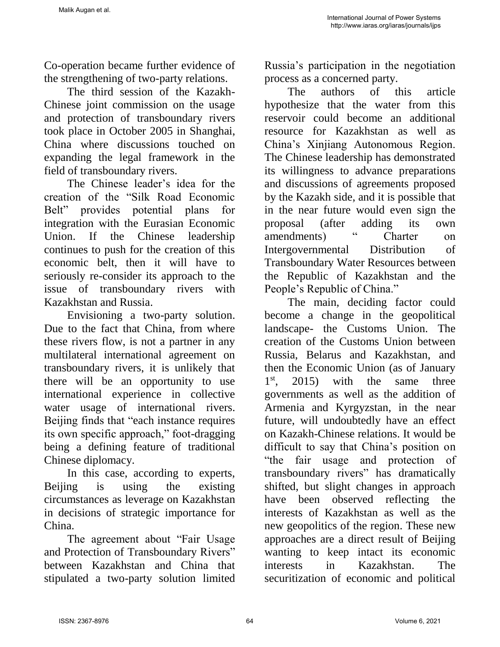Co-operation became further evidence of the strengthening of two-party relations.

The third session of the Kazakh-Chinese joint commission on the usage and protection of transboundary rivers took place in October 2005 in Shanghai, China where discussions touched on expanding the legal framework in the field of transboundary rivers.

The Chinese leader's idea for the creation of the "Silk Road Economic Belt" provides potential plans for integration with the Eurasian Economic Union. If the Chinese leadership continues to push for the creation of this economic belt, then it will have to seriously re-consider its approach to the issue of transboundary rivers with Kazakhstan and Russia.

Envisioning a two-party solution. Due to the fact that China, from where these rivers flow, is not a partner in any multilateral international agreement on transboundary rivers, it is unlikely that there will be an opportunity to use international experience in collective water usage of international rivers. Beijing finds that "each instance requires its own specific approach," foot-dragging being a defining feature of traditional Chinese diplomacy.

In this case, according to experts, Beiling is using the existing circumstances as leverage on Kazakhstan in decisions of strategic importance for China.

The agreement about "Fair Usage and Protection of Transboundary Rivers" between Kazakhstan and China that stipulated a two-party solution limited Russia's participation in the negotiation process as a concerned party.

The authors of this article hypothesize that the water from this reservoir could become an additional resource for Kazakhstan as well as China's Xinjiang Autonomous Region. The Chinese leadership has demonstrated its willingness to advance preparations and discussions of agreements proposed by the Kazakh side, and it is possible that in the near future would even sign the proposal (after adding its own amendments) " Charter on Intergovernmental Distribution of Transboundary Water Resources between the Republic of Kazakhstan and the People's Republic of China."

The main, deciding factor could become a change in the geopolitical landscape- the Customs Union. The creation of the Customs Union between Russia, Belarus and Kazakhstan, and then the Economic Union (as of January  $1<sup>st</sup>$ .  $2015$  with the same three governments as well as the addition of Armenia and Kyrgyzstan, in the near future, will undoubtedly have an effect on Kazakh-Chinese relations. It would be difficult to say that China's position on "the fair usage and protection of transboundary rivers" has dramatically shifted, but slight changes in approach have been observed reflecting the interests of Kazakhstan as well as the new geopolitics of the region. These new approaches are a direct result of Beijing wanting to keep intact its economic interests in Kazakhstan. The securitization of economic and political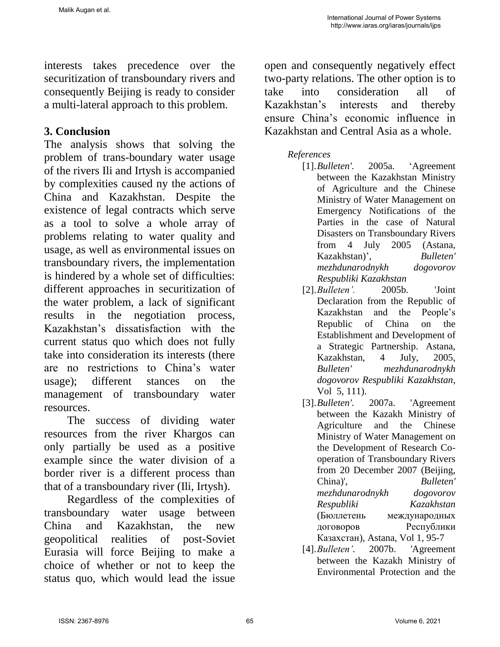interests takes precedence over the securitization of transboundary rivers and consequently Beijing is ready to consider a multi-lateral approach to this problem.

## **3. Conclusion**

The analysis shows that solving the problem of trans-boundary water usage of the rivers Ili and Irtysh is accompanied by complexities caused ny the actions of China and Kazakhstan. Despite the existence of legal contracts which serve as a tool to solve a whole array of problems relating to water quality and usage, as well as environmental issues on transboundary rivers, the implementation is hindered by a whole set of difficulties: different approaches in securitization of the water problem, a lack of significant results in the negotiation process, Kazakhstan's dissatisfaction with the current status quo which does not fully take into consideration its interests (there are no restrictions to China's water usage); different stances on the management of transboundary water resources.

The success of dividing water resources from the river Khargos can only partially be used as a positive example since the water division of a border river is a different process than that of a transboundary river (Ili, Irtysh).

Regardless of the complexities of transboundary water usage between China and Kazakhstan, the new geopolitical realities of post-Soviet Eurasia will force Beijing to make a choice of whether or not to keep the status quo, which would lead the issue

open and consequently negatively effect two-party relations. The other option is to take into consideration all of Kazakhstan's interests and thereby ensure China's economic influence in Kazakhstan and Central Asia as a whole.

### *References*

- [1].*Bulleten'.* 2005a. 'Agreement between the Kazakhstan Ministry of Agriculture and the Chinese Ministry of Water Management on Emergency Notifications of the Parties in the case of Natural Disasters on Transboundary Rivers from 4 July 2005 (Astana, Kazakhstan)', *Bulleten' mezhdunarodnykh dogovorov Respubliki Kazakhstan*
- [2].*Bulleten'.* 2005b. 'Joint Declaration from the Republic of Kazakhstan and the People's Republic of China on the Establishment and Development of a Strategic Partnership. Astana, Kazakhstan, 4 July, 2005, *Bulleten' mezhdunarodnykh dogovorov Respubliki Kazakhstan*, Vol 5, 111).
- [3].*Bulleten'.* 2007a. 'Agreement between the Kazakh Ministry of Agriculture and the Chinese Ministry of Water Management on the Development of Research Cooperation of Transboundary Rivers from 20 December 2007 (Beijing, China)', *Bulleten' mezhdunarodnykh dogovorov Respubliki Kazakhstan* (Бюллетень международных договоров Республики Казахстан), Astana, Vol 1, 95-7
- [4].*Bulleten'.* 2007b. *'*Agreement between the Kazakh Ministry of Environmental Protection and the